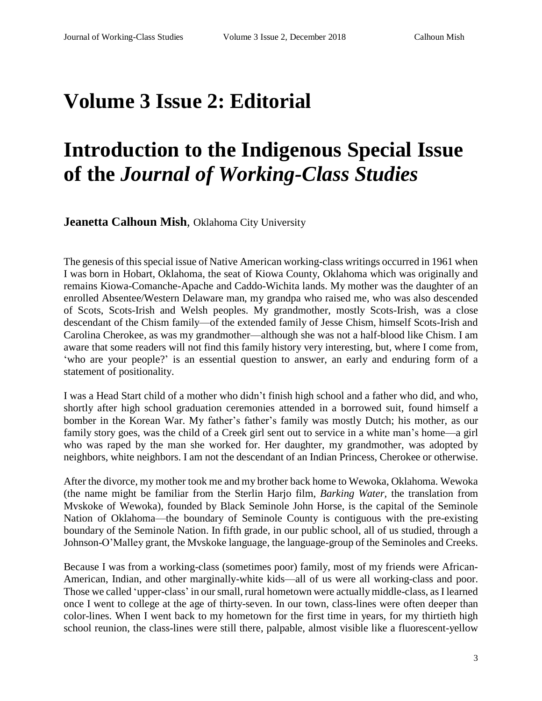## **Volume 3 Issue 2: Editorial**

## **Introduction to the Indigenous Special Issue of the** *Journal of Working-Class Studies*

**Jeanetta Calhoun Mish**, Oklahoma City University

The genesis of this special issue of Native American working-class writings occurred in 1961 when I was born in Hobart, Oklahoma, the seat of Kiowa County, Oklahoma which was originally and remains Kiowa-Comanche-Apache and Caddo-Wichita lands. My mother was the daughter of an enrolled Absentee/Western Delaware man, my grandpa who raised me, who was also descended of Scots, Scots-Irish and Welsh peoples. My grandmother, mostly Scots-Irish, was a close descendant of the Chism family—of the extended family of Jesse Chism, himself Scots-Irish and Carolina Cherokee, as was my grandmother—although she was not a half-blood like Chism. I am aware that some readers will not find this family history very interesting, but, where I come from, 'who are your people?' is an essential question to answer, an early and enduring form of a statement of positionality.

I was a Head Start child of a mother who didn't finish high school and a father who did, and who, shortly after high school graduation ceremonies attended in a borrowed suit, found himself a bomber in the Korean War. My father's father's family was mostly Dutch; his mother, as our family story goes, was the child of a Creek girl sent out to service in a white man's home—a girl who was raped by the man she worked for. Her daughter, my grandmother, was adopted by neighbors, white neighbors. I am not the descendant of an Indian Princess, Cherokee or otherwise.

After the divorce, my mother took me and my brother back home to Wewoka, Oklahoma. Wewoka (the name might be familiar from the Sterlin Harjo film, *Barking Water,* the translation from Mvskoke of Wewoka), founded by Black Seminole John Horse, is the capital of the Seminole Nation of Oklahoma—the boundary of Seminole County is contiguous with the pre-existing boundary of the Seminole Nation. In fifth grade, in our public school, all of us studied, through a Johnson-O'Malley grant, the Mvskoke language, the language-group of the Seminoles and Creeks.

Because I was from a working-class (sometimes poor) family, most of my friends were African-American, Indian, and other marginally-white kids—all of us were all working-class and poor. Those we called 'upper-class' in our small, rural hometown were actually middle-class, as I learned once I went to college at the age of thirty-seven. In our town, class-lines were often deeper than color-lines. When I went back to my hometown for the first time in years, for my thirtieth high school reunion, the class-lines were still there, palpable, almost visible like a fluorescent-yellow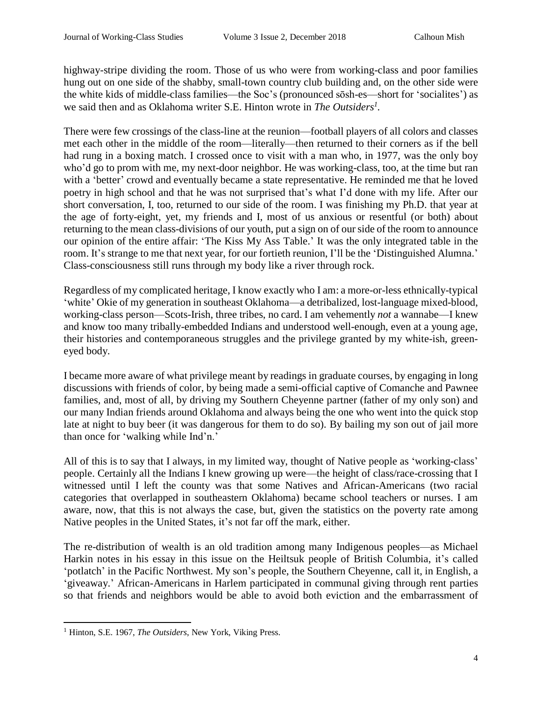highway-stripe dividing the room. Those of us who were from working-class and poor families hung out on one side of the shabby, small-town country club building and, on the other side were the white kids of middle-class families—the Soc's (pronounced sōsh-es—short for 'socialites') as we said then and as Oklahoma writer S.E. Hinton wrote in *The Outsiders<sup>1</sup> .*

There were few crossings of the class-line at the reunion—football players of all colors and classes met each other in the middle of the room—literally—then returned to their corners as if the bell had rung in a boxing match. I crossed once to visit with a man who, in 1977, was the only boy who'd go to prom with me, my next-door neighbor. He was working-class, too, at the time but ran with a 'better' crowd and eventually became a state representative. He reminded me that he loved poetry in high school and that he was not surprised that's what I'd done with my life. After our short conversation, I, too, returned to our side of the room. I was finishing my Ph.D. that year at the age of forty-eight, yet, my friends and I, most of us anxious or resentful (or both) about returning to the mean class-divisions of our youth, put a sign on of ourside of the room to announce our opinion of the entire affair: 'The Kiss My Ass Table.' It was the only integrated table in the room. It's strange to me that next year, for our fortieth reunion, I'll be the 'Distinguished Alumna.' Class-consciousness still runs through my body like a river through rock.

Regardless of my complicated heritage, I know exactly who I am: a more-or-less ethnically-typical 'white' Okie of my generation in southeast Oklahoma—a detribalized, lost-language mixed-blood, working-class person—Scots-Irish, three tribes, no card. I am vehemently *not* a wannabe—I knew and know too many tribally-embedded Indians and understood well-enough, even at a young age, their histories and contemporaneous struggles and the privilege granted by my white-ish, greeneyed body.

I became more aware of what privilege meant by readings in graduate courses, by engaging in long discussions with friends of color, by being made a semi-official captive of Comanche and Pawnee families, and, most of all, by driving my Southern Cheyenne partner (father of my only son) and our many Indian friends around Oklahoma and always being the one who went into the quick stop late at night to buy beer (it was dangerous for them to do so). By bailing my son out of jail more than once for 'walking while Ind'n.'

All of this is to say that I always, in my limited way, thought of Native people as 'working-class' people. Certainly all the Indians I knew growing up were—the height of class/race-crossing that I witnessed until I left the county was that some Natives and African-Americans (two racial categories that overlapped in southeastern Oklahoma) became school teachers or nurses. I am aware, now, that this is not always the case, but, given the statistics on the poverty rate among Native peoples in the United States, it's not far off the mark, either.

The re-distribution of wealth is an old tradition among many Indigenous peoples—as Michael Harkin notes in his essay in this issue on the Heiltsuk people of British Columbia, it's called 'potlatch' in the Pacific Northwest. My son's people, the Southern Cheyenne, call it, in English, a 'giveaway.' African-Americans in Harlem participated in communal giving through rent parties so that friends and neighbors would be able to avoid both eviction and the embarrassment of

 $\overline{a}$ <sup>1</sup> Hinton, S.E. 1967, *The Outsiders*, New York, Viking Press.